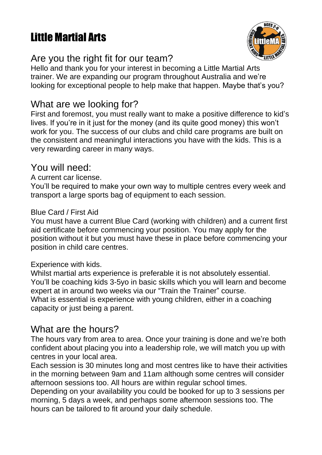# Little Martial Arts



# Are you the right fit for our team?

Hello and thank you for your interest in becoming a Little Martial Arts trainer. We are expanding our program throughout Australia and we're looking for exceptional people to help make that happen. Maybe that's you?

# What are we looking for?

First and foremost, you must really want to make a positive difference to kid's lives. If you're in it just for the money (and its quite good money) this won't work for you. The success of our clubs and child care programs are built on the consistent and meaningful interactions you have with the kids. This is a very rewarding career in many ways.

# You will need:

A current car license.

You'll be required to make your own way to multiple centres every week and transport a large sports bag of equipment to each session.

#### Blue Card / First Aid

You must have a current Blue Card (working with children) and a current first aid certificate before commencing your position. You may apply for the position without it but you must have these in place before commencing your position in child care centres.

#### Experience with kids.

Whilst martial arts experience is preferable it is not absolutely essential. You'll be coaching kids 3-5yo in basic skills which you will learn and become expert at in around two weeks via our "Train the Trainer" course. What is essential is experience with young children, either in a coaching capacity or just being a parent.

# What are the hours?

The hours vary from area to area. Once your training is done and we're both confident about placing you into a leadership role, we will match you up with centres in your local area.

Each session is 30 minutes long and most centres like to have their activities in the morning between 9am and 11am although some centres will consider afternoon sessions too. All hours are within regular school times.

Depending on your availability you could be booked for up to 3 sessions per morning, 5 days a week, and perhaps some afternoon sessions too. The hours can be tailored to fit around your daily schedule.